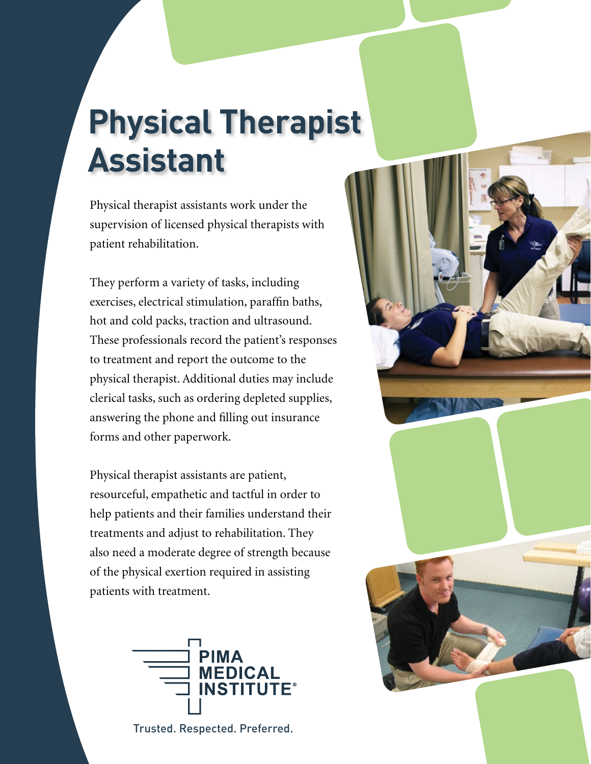# **Physical Therapist Assistant**

Physical therapist assistants work under the supervision of licensed physical therapists with patient rehabilitation.

They perform a variety of tasks, including exercises, electrical stimulation, paraffin baths, hot and cold packs, traction and ultrasound. These professionals record the patient's responses to treatment and report the outcome to the physical therapist. Additional duties may include clerical tasks, such as ordering depleted supplies, answering the phone and filling out insurance forms and other paperwork.

Physical therapist assistants are patient, resourceful, empathetic and tactful in order to help patients and their families understand their treatments and adjust to rehabilitation. They also need a moderate degree of strength because of the physical exertion required in assisting patients with treatment.



Trusted. Respected. Preferred.